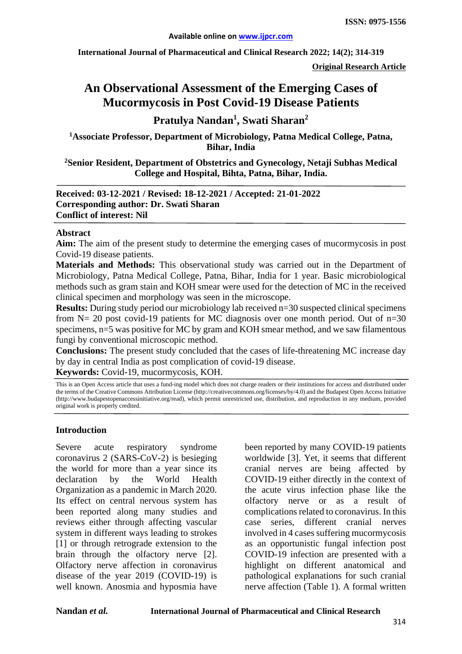**International Journal of Pharmaceutical and Clinical Research 2022; 14(2); 314-319**

**Original Research Article**

# **An Observational Assessment of the Emerging Cases of Mucormycosis in Post Covid-19 Disease Patients**

**Pratulya Nandan1 , Swati Sharan<sup>2</sup>**

**1 Associate Professor, Department of Microbiology, Patna Medical College, Patna, Bihar, India**

**2 Senior Resident, Department of Obstetrics and Gynecology, Netaji Subhas Medical College and Hospital, Bihta, Patna, Bihar, India.**

**Received: 03-12-2021 / Revised: 18-12-2021 / Accepted: 21-01-2022 Corresponding author: Dr. Swati Sharan Conflict of interest: Nil**

#### **Abstract**

**Aim:** The aim of the present study to determine the emerging cases of mucormycosis in post Covid-19 disease patients.

**Materials and Methods:** This observational study was carried out in the Department of Microbiology, Patna Medical College, Patna, Bihar, India for 1 year. Basic microbiological methods such as gram stain and KOH smear were used for the detection of MC in the received clinical specimen and morphology was seen in the microscope.

**Results:** During study period our microbiology lab received  $n=30$  suspected clinical specimens from  $N = 20$  post covid-19 patients for MC diagnosis over one month period. Out of  $n=30$ specimens,  $n=5$  was positive for MC by gram and KOH smear method, and we saw filamentous fungi by conventional microscopic method.

**Conclusions:** The present study concluded that the cases of life-threatening MC increase day by day in central India as post complication of covid-19 disease.

**Keywords:** Covid-19, mucormycosis, KOH.

This is an Open Access article that uses a fund-ing model which does not charge readers or their institutions for access and distributed under the terms of the Creative Commons Attribution License (http://creativecommons.org/licenses/by/4.0) and the Budapest Open Access Initiative (http://www.budapestopenaccessinitiative.org/read), which permit unrestricted use, distribution, and reproduction in any medium, provided original work is properly credited.

#### **Introduction**

Severe acute respiratory syndrome coronavirus 2 (SARS-CoV-2) is besieging the world for more than a year since its declaration by the World Health Organization as a pandemic in March 2020. Its effect on central nervous system has been reported along many studies and reviews either through affecting vascular system in different ways leading to strokes [1] or through retrograde extension to the brain through the olfactory nerve [2]. Olfactory nerve affection in coronavirus disease of the year 2019 (COVID-19) is well known. Anosmia and hyposmia have

been reported by many COVID-19 patients worldwide [3]. Yet, it seems that different cranial nerves are being affected by COVID-19 either directly in the context of the acute virus infection phase like the olfactory nerve or as a result of complications related to coronavirus. In this case series, different cranial nerves involved in 4 cases suffering mucormycosis as an opportunistic fungal infection post COVID-19 infection are presented with a highlight on different anatomical and pathological explanations for such cranial nerve affection (Table 1). A formal written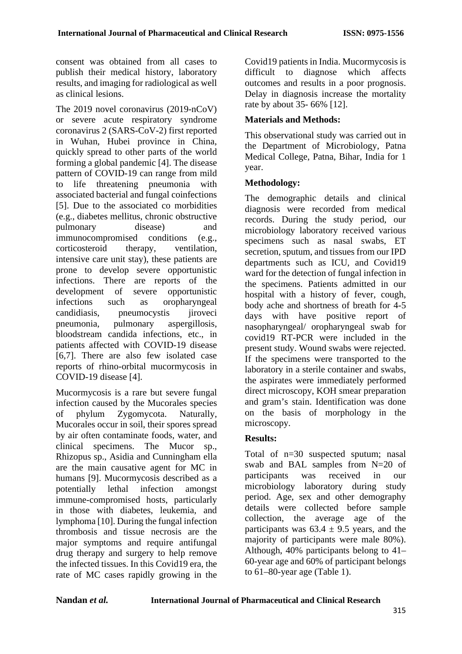consent was obtained from all cases to publish their medical history, laboratory results, and imaging for radiological as well as clinical lesions.

The 2019 novel coronavirus (2019-nCoV) or severe acute respiratory syndrome coronavirus 2 (SARS-CoV-2) first reported in Wuhan, Hubei province in China, quickly spread to other parts of the world forming a global pandemic [4]. The disease pattern of COVID-19 can range from mild to life threatening pneumonia with associated bacterial and fungal coinfections [5]. Due to the associated co morbidities (e.g., diabetes mellitus, chronic obstructive pulmonary disease) and immunocompromised conditions (e.g., corticosteroid therapy, ventilation, intensive care unit stay), these patients are prone to develop severe opportunistic infections. There are reports of the development of severe opportunistic infections such as oropharyngeal candidiasis, pneumocystis jiroveci pneumonia, pulmonary aspergillosis, bloodstream candida infections, etc., in patients affected with COVID-19 disease [6,7]. There are also few isolated case reports of rhino-orbital mucormycosis in COVID-19 disease [4].

Mucormycosis is a rare but severe fungal infection caused by the Mucorales species of phylum Zygomycota. Naturally, Mucorales occur in soil, their spores spread by air often contaminate foods, water, and clinical specimens. The Mucor sp., Rhizopus sp., Asidia and Cunningham ella are the main causative agent for MC in humans [9]. Mucormycosis described as a potentially lethal infection amongst immune-compromised hosts, particularly in those with diabetes, leukemia, and lymphoma [10]. During the fungal infection thrombosis and tissue necrosis are the major symptoms and require antifungal drug therapy and surgery to help remove the infected tissues. In this Covid19 era, the rate of MC cases rapidly growing in the

Covid19 patients in India. Mucormycosis is difficult to diagnose which affects outcomes and results in a poor prognosis. Delay in diagnosis increase the mortality rate by about 35- 66% [12].

## **Materials and Methods:**

This observational study was carried out in the Department of Microbiology, Patna Medical College, Patna, Bihar, India for 1 year.

### **Methodology:**

The demographic details and clinical diagnosis were recorded from medical records. During the study period, our microbiology laboratory received various specimens such as nasal swabs, ET secretion, sputum, and tissues from our IPD departments such as ICU, and Covid19 ward for the detection of fungal infection in the specimens. Patients admitted in our hospital with a history of fever, cough, body ache and shortness of breath for 4-5 days with have positive report of nasopharyngeal/ oropharyngeal swab for covid19 RT-PCR were included in the present study. Wound swabs were rejected. If the specimens were transported to the laboratory in a sterile container and swabs, the aspirates were immediately performed direct microscopy, KOH smear preparation and gram's stain. Identification was done on the basis of morphology in the microscopy.

#### **Results:**

Total of n=30 suspected sputum; nasal swab and BAL samples from N=20 of participants was received in our microbiology laboratory during study period. Age, sex and other demography details were collected before sample collection, the average age of the participants was  $63.4 \pm 9.5$  years, and the majority of participants were male 80%). Although, 40% participants belong to 41– 60-year age and 60% of participant belongs to 61–80-year age (Table 1).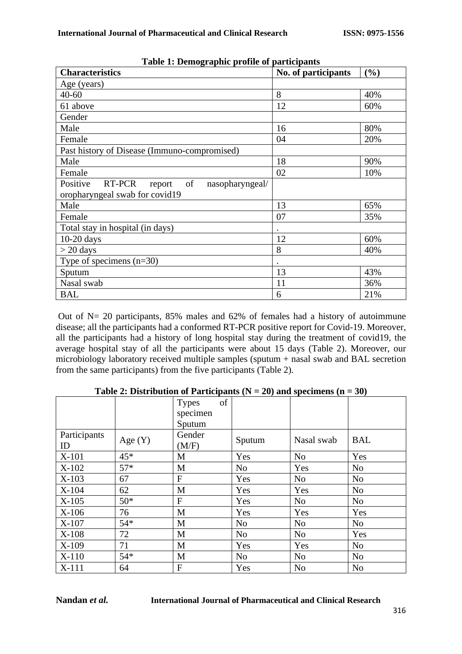| Table 1. Demographic prome or participants         |                     |     |  |
|----------------------------------------------------|---------------------|-----|--|
| <b>Characteristics</b>                             | No. of participants | (%) |  |
| Age (years)                                        |                     |     |  |
| $40 - 60$                                          | 8                   | 40% |  |
| 61 above                                           | 12                  | 60% |  |
| Gender                                             |                     |     |  |
| Male                                               | 16                  | 80% |  |
| Female                                             | 04                  | 20% |  |
| Past history of Disease (Immuno-compromised)       |                     |     |  |
| Male                                               | 18                  | 90% |  |
| Female                                             | 02                  | 10% |  |
| Positive<br>nasopharyngeal/<br>RT-PCR<br>report of |                     |     |  |
| oropharyngeal swab for covid19                     |                     |     |  |
| Male                                               | 13                  | 65% |  |
| Female                                             | 07                  | 35% |  |
| Total stay in hospital (in days)                   |                     |     |  |
| $10-20$ days                                       | 12                  | 60% |  |
| $>$ 20 days                                        | 8                   | 40% |  |
| Type of specimens $(n=30)$                         | $\bullet$           |     |  |
| Sputum                                             | 13                  | 43% |  |
| Nasal swab                                         | 11                  | 36% |  |
| <b>BAL</b>                                         | 6                   | 21% |  |

**Table 1: Demographic profile of participants**

Out of  $N = 20$  participants, 85% males and 62% of females had a history of autoimmune disease; all the participants had a conformed RT-PCR positive report for Covid-19. Moreover, all the participants had a history of long hospital stay during the treatment of covid19, the average hospital stay of all the participants were about 15 days (Table 2). Moreover, our microbiology laboratory received multiple samples (sputum + nasal swab and BAL secretion from the same participants) from the five participants (Table 2).

|                    |           | of<br><b>Types</b><br>specimen |                |                |                |
|--------------------|-----------|--------------------------------|----------------|----------------|----------------|
|                    |           | Sputum                         |                |                |                |
| Participants<br>ID | Age $(Y)$ | Gender<br>(M/F)                | Sputum         | Nasal swab     | <b>BAL</b>     |
| X-101              | $45*$     | M                              | Yes            | N <sub>o</sub> | Yes            |
| $X-102$            | $57*$     | M                              | N <sub>o</sub> | Yes            | N <sub>o</sub> |
| $X-103$            | 67        | $\mathbf{F}$                   | Yes            | N <sub>o</sub> | N <sub>0</sub> |
| $X-104$            | 62        | M                              | Yes            | Yes            | N <sub>o</sub> |
| $X-105$            | $50*$     | $\overline{F}$                 | Yes            | N <sub>o</sub> | N <sub>o</sub> |
| $X-106$            | 76        | M                              | Yes            | Yes            | Yes            |
| X-107              | $54*$     | M                              | N <sub>o</sub> | N <sub>o</sub> | N <sub>o</sub> |
| $X-108$            | 72        | M                              | N <sub>o</sub> | N <sub>o</sub> | Yes            |
| $X-109$            | 71        | M                              | Yes            | Yes            | N <sub>o</sub> |
| $X-110$            | $54*$     | M                              | N <sub>o</sub> | N <sub>o</sub> | N <sub>o</sub> |
| X-111              | 64        | F                              | Yes            | N <sub>0</sub> | N <sub>o</sub> |

Table 2: Distribution of Participants  $(N = 20)$  and specimens  $(n = 30)$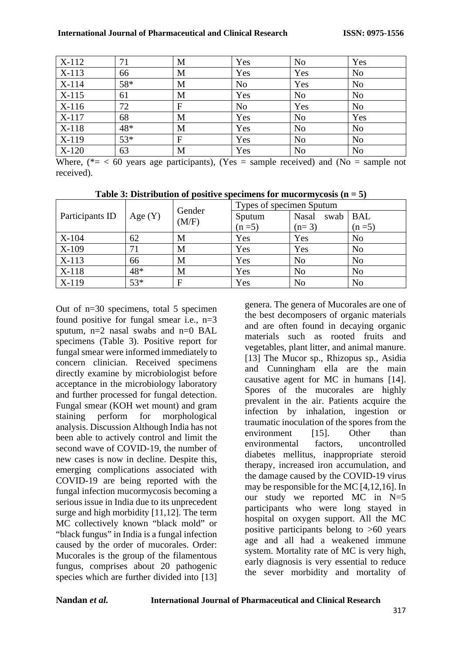| $X-112$ | 71  | M            | Yes            | N <sub>o</sub> | Yes            |
|---------|-----|--------------|----------------|----------------|----------------|
| $X-113$ | 66  | M            | Yes            | Yes            | N <sub>o</sub> |
| X-114   | 58* | M            | N <sub>o</sub> | Yes            | N <sub>o</sub> |
| $X-115$ | 61  | M            | Yes            | N <sub>o</sub> | N <sub>o</sub> |
| $X-116$ | 72  | $\mathbf{F}$ | N <sub>o</sub> | Yes            | N <sub>o</sub> |
| X-117   | 68  | M            | Yes            | N <sub>o</sub> | Yes            |
| $X-118$ | 48* | M            | Yes            | N <sub>o</sub> | N <sub>o</sub> |
| X-119   | 53* | $\mathbf{F}$ | Yes            | N <sub>o</sub> | N <sub>o</sub> |
| $X-120$ | 63  | M            | Yes            | N <sub>o</sub> | N <sub>o</sub> |

Where,  $(*= 60$  years age participants), (Yes = sample received) and (No = sample not received).

| Participants ID | Age $(Y)$ | Gender<br>(M/F) | Types of specimen Sputum |                      |                |
|-----------------|-----------|-----------------|--------------------------|----------------------|----------------|
|                 |           |                 | Sputum                   | <b>Nasal</b><br>swab | <b>BAL</b>     |
|                 |           |                 | $(n=5)$                  | $(n=3)$              | $(n=5)$        |
| $X-104$         | 62        | M               | Yes                      | Yes                  | N <sub>o</sub> |
| X-109           | 71        | M               | Yes                      | Yes                  | N <sub>o</sub> |
| $X-113$         | 66        | M               | Yes                      | N <sub>o</sub>       | N <sub>o</sub> |
| X-118           | 48*       | M               | Yes                      | N <sub>o</sub>       | N <sub>o</sub> |
| $X-119$         | $53*$     | F               | Yes                      | N <sub>o</sub>       | N <sub>o</sub> |

**Table 3: Distribution of positive specimens for mucormycosis (n = 5)**

Out of n=30 specimens, total 5 specimen found positive for fungal smear i.e.,  $n=3$ sputum,  $n=2$  nasal swabs and  $n=0$  BAL specimens (Table 3). Positive report for fungal smear were informed immediately to concern clinician. Received specimens directly examine by microbiologist before acceptance in the microbiology laboratory and further processed for fungal detection. Fungal smear (KOH wet mount) and gram staining perform for morphological analysis. Discussion Although India has not been able to actively control and limit the second wave of COVID-19, the number of new cases is now in decline. Despite this, emerging complications associated with COVID-19 are being reported with the fungal infection mucormycosis becoming a serious issue in India due to its unprecedent surge and high morbidity [11,12]. The term MC collectively known "black mold" or "black fungus" in India is a fungal infection caused by the order of mucorales. Order: Mucorales is the group of the filamentous fungus, comprises about 20 pathogenic species which are further divided into [13] genera. The genera of Mucorales are one of the best decomposers of organic materials and are often found in decaying organic materials such as rooted fruits and vegetables, plant litter, and animal manure. [13] The Mucor sp., Rhizopus sp., Asidia and Cunningham ella are the main causative agent for MC in humans [14]. Spores of the mucorales are highly prevalent in the air. Patients acquire the infection by inhalation, ingestion or traumatic inoculation of the spores from the environment [15]. Other than environmental factors, uncontrolled diabetes mellitus, inappropriate steroid therapy, increased iron accumulation, and the damage caused by the COVID-19 virus may be responsible for the MC [4,12,16]. In our study we reported  $MC$  in  $N=5$ participants who were long stayed in hospital on oxygen support. All the MC positive participants belong to >60 years age and all had a weakened immune system. Mortality rate of MC is very high, early diagnosis is very essential to reduce the sever morbidity and mortality of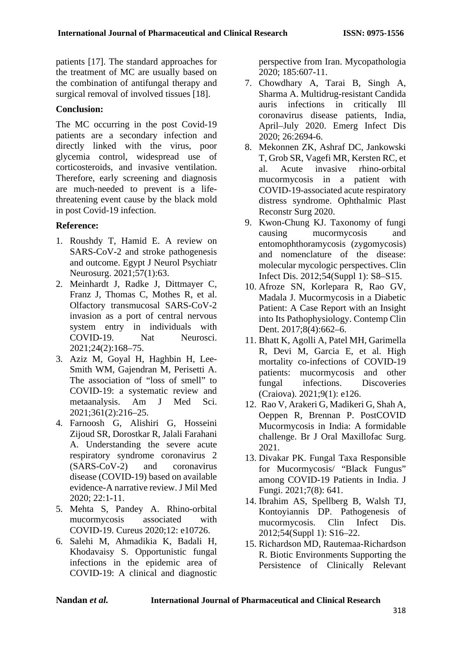patients [17]. The standard approaches for the treatment of MC are usually based on the combination of antifungal therapy and surgical removal of involved tissues [18].

### **Conclusion:**

The MC occurring in the post Covid-19 patients are a secondary infection and directly linked with the virus, poor glycemia control, widespread use of corticosteroids, and invasive ventilation. Therefore, early screening and diagnosis are much-needed to prevent is a lifethreatening event cause by the black mold in post Covid-19 infection.

# **Reference:**

- 1. Roushdy T, Hamid E. A review on SARS-CoV-2 and stroke pathogenesis and outcome. Egypt J Neurol Psychiatr Neurosurg. 2021;57(1):63.
- 2. Meinhardt J, Radke J, Dittmayer C, Franz J, Thomas C, Mothes R, et al. Olfactory transmucosal SARS-CoV-2 invasion as a port of central nervous system entry in individuals with COVID-19. Nat Neurosci. 2021;24(2):168–75.
- 3. Aziz M, Goyal H, Haghbin H, Lee-Smith WM, Gajendran M, Perisetti A. The association of "loss of smell" to COVID-19: a systematic review and metaanalysis. Am J Med Sci. 2021;361(2):216–25.
- 4. Farnoosh G, Alishiri G, Hosseini Zijoud SR, Dorostkar R, Jalali Farahani A. Understanding the severe acute respiratory syndrome coronavirus 2 (SARS-CoV-2) and coronavirus disease (COVID-19) based on available evidence-A narrative review. J Mil Med 2020; 22:1-11.
- 5. Mehta S, Pandey A. Rhino-orbital mucormycosis associated with COVID-19. Cureus 2020;12: e10726.
- 6. Salehi M, Ahmadikia K, Badali H, Khodavaisy S. Opportunistic fungal infections in the epidemic area of COVID-19: A clinical and diagnostic

perspective from Iran. Mycopathologia 2020; 185:607-11.

- 7. Chowdhary A, Tarai B, Singh A, Sharma A. Multidrug-resistant Candida auris infections in critically Ill coronavirus disease patients, India, April–July 2020. Emerg Infect Dis 2020; 26:2694-6.
- 8. Mekonnen ZK, Ashraf DC, Jankowski T, Grob SR, Vagefi MR, Kersten RC, et al. Acute invasive rhino-orbital mucormycosis in a patient with COVID-19-associated acute respiratory distress syndrome. Ophthalmic Plast Reconstr Surg 2020.
- 9. Kwon-Chung KJ. Taxonomy of fungi causing mucormycosis and entomophthoramycosis (zygomycosis) and nomenclature of the disease: molecular mycologic perspectives. Clin Infect Dis. 2012;54(Suppl 1): S8–S15.
- 10. Afroze SN, Korlepara R, Rao GV, Madala J. Mucormycosis in a Diabetic Patient: A Case Report with an Insight into Its Pathophysiology. Contemp Clin Dent. 2017;8(4):662–6.
- 11. Bhatt K, Agolli A, Patel MH, Garimella R, Devi M, Garcia E, et al. High mortality co-infections of COVID-19 patients: mucormycosis and other fungal infections. Discoveries (Craiova). 2021;9(1): e126.
- 12. Rao V, Arakeri G, Madikeri G, Shah A, Oeppen R, Brennan P. PostCOVID Mucormycosis in India: A formidable challenge. Br J Oral Maxillofac Surg. 2021.
- 13. Divakar PK. Fungal Taxa Responsible for Mucormycosis/ "Black Fungus" among COVID-19 Patients in India. J Fungi. 2021;7(8): 641.
- 14. Ibrahim AS, Spellberg B, Walsh TJ, Kontoyiannis DP. Pathogenesis of mucormycosis. Clin Infect Dis. 2012;54(Suppl 1): S16–22.
- 15. Richardson MD, Rautemaa-Richardson R. Biotic Environments Supporting the Persistence of Clinically Relevant